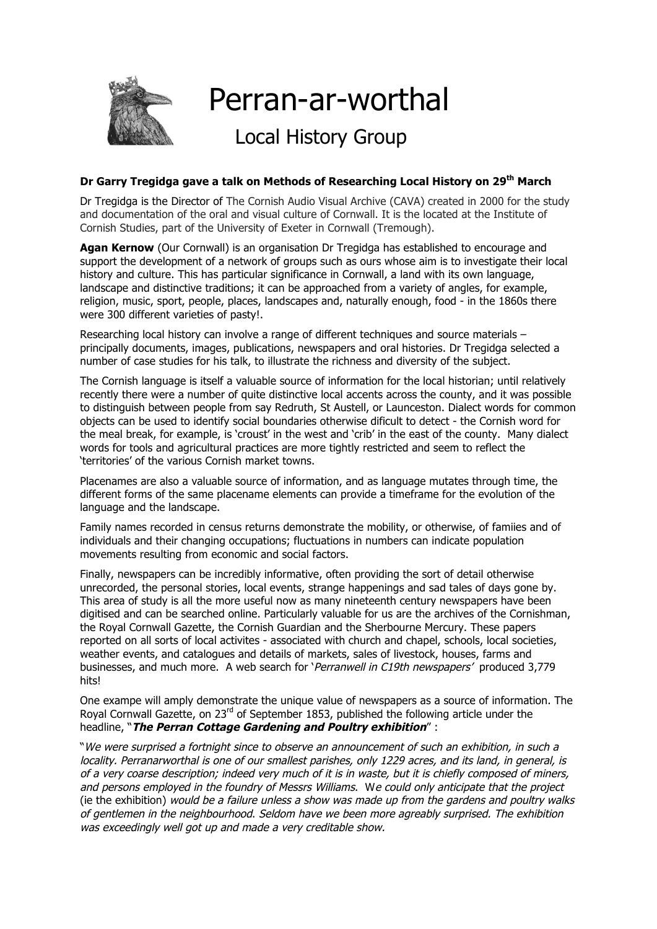

## **Dr Garry Tregidga gave a talk on Methods of Researching Local History on 29th March**

Dr Tregidga is the Director of The Cornish Audio Visual Archive (CAVA) created in 2000 for the study and documentation of the oral and visual culture of Cornwall. It is the located at the Institute of Cornish Studies, part of the University of Exeter in Cornwall (Tremough).

**Agan Kernow** (Our Cornwall) is an organisation Dr Tregidga has established to encourage and support the development of a network of groups such as ours whose aim is to investigate their local history and culture. This has particular significance in Cornwall, a land with its own language, landscape and distinctive traditions; it can be approached from a variety of angles, for example, religion, music, sport, people, places, landscapes and, naturally enough, food - in the 1860s there were 300 different varieties of pasty!.

Researching local history can involve a range of different techniques and source materials – principally documents, images, publications, newspapers and oral histories. Dr Tregidga selected a number of case studies for his talk, to illustrate the richness and diversity of the subject.

The Cornish language is itself a valuable source of information for the local historian; until relatively recently there were a number of quite distinctive local accents across the county, and it was possible to distinguish between people from say Redruth, St Austell, or Launceston. Dialect words for common objects can be used to identify social boundaries otherwise dificult to detect - the Cornish word for the meal break, for example, is 'croust' in the west and 'crib' in the east of the county. Many dialect words for tools and agricultural practices are more tightly restricted and seem to reflect the 'territories' of the various Cornish market towns.

Placenames are also a valuable source of information, and as language mutates through time, the different forms of the same placename elements can provide a timeframe for the evolution of the language and the landscape.

Family names recorded in census returns demonstrate the mobility, or otherwise, of famiies and of individuals and their changing occupations; fluctuations in numbers can indicate population movements resulting from economic and social factors.

Finally, newspapers can be incredibly informative, often providing the sort of detail otherwise unrecorded, the personal stories, local events, strange happenings and sad tales of days gone by. This area of study is all the more useful now as many nineteenth century newspapers have been digitised and can be searched online. Particularly valuable for us are the archives of the Cornishman, the Royal Cornwall Gazette, the Cornish Guardian and the Sherbourne Mercury. These papers reported on all sorts of local activites - associated with church and chapel, schools, local societies, weather events, and catalogues and details of markets, sales of livestock, houses, farms and businesses, and much more. A web search for 'Perranwell in C19th newspapers' produced 3,779 hits!

One exampe will amply demonstrate the unique value of newspapers as a source of information. The Royal Cornwall Gazette, on 23<sup>rd</sup> of September 1853, published the following article under the headline, "**The Perran Cottage Gardening and Poultry exhibition**" :

"We were surprised a fortnight since to observe an announcement of such an exhibition, in such a locality. Perranarworthal is one of our smallest parishes, only 1229 acres, and its land, in general, is of a very coarse description; indeed very much of it is in waste, but it is chiefly composed of miners, and persons employed in the foundry of Messrs Williams. We could only anticipate that the project (ie the exhibition) would be a failure unless a show was made up from the gardens and poultry walks of gentlemen in the neighbourhood. Seldom have we been more agreably surprised. The exhibition was exceedingly well got up and made a very creditable show.